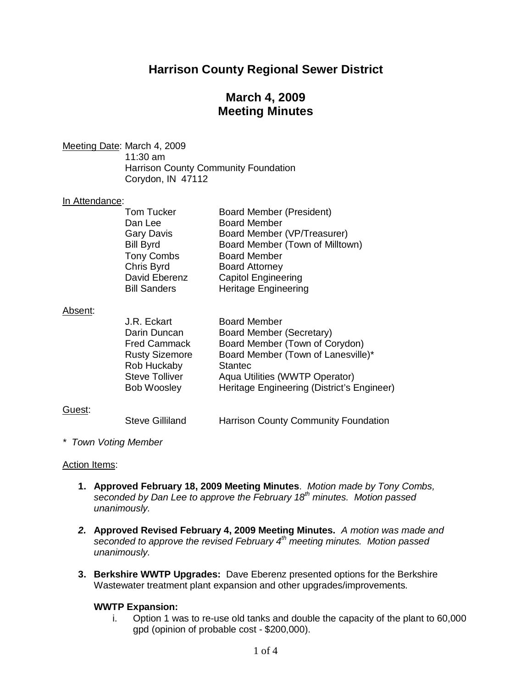# **Harrison County Regional Sewer District**

## **March 4, 2009 Meeting Minutes**

Meeting Date: March 4, 2009

11:30 am Harrison County Community Foundation Corydon, IN 47112

#### In Attendance:

| <b>Tom Tucker</b>   | <b>Board Member (President)</b> |
|---------------------|---------------------------------|
| Dan Lee             | <b>Board Member</b>             |
| <b>Gary Davis</b>   | Board Member (VP/Treasurer)     |
| <b>Bill Byrd</b>    | Board Member (Town of Milltown) |
| <b>Tony Combs</b>   | <b>Board Member</b>             |
| Chris Byrd          | <b>Board Attorney</b>           |
| David Eberenz       | <b>Capitol Engineering</b>      |
| <b>Bill Sanders</b> | <b>Heritage Engineering</b>     |

#### Absent:

| J.R. Eckart           | <b>Board Member</b>                        |
|-----------------------|--------------------------------------------|
| Darin Duncan          | Board Member (Secretary)                   |
| <b>Fred Cammack</b>   | Board Member (Town of Corydon)             |
| <b>Rusty Sizemore</b> | Board Member (Town of Lanesville)*         |
| Rob Huckaby           | <b>Stantec</b>                             |
| <b>Steve Tolliver</b> | Aqua Utilities (WWTP Operator)             |
| <b>Bob Woosley</b>    | Heritage Engineering (District's Engineer) |
|                       |                                            |

## Guest:

Steve Gilliland Harrison County Community Foundation

*\* Town Voting Member*

#### Action Items:

- **1. Approved February 18, 2009 Meeting Minutes**. *Motion made by Tony Combs, seconded by Dan Lee to approve the February 18th minutes. Motion passed unanimously.*
- *2.* **Approved Revised February 4, 2009 Meeting Minutes.** *A motion was made and seconded to approve the revised February 4th meeting minutes. Motion passed unanimously.*
- **3. Berkshire WWTP Upgrades:** Dave Eberenz presented options for the Berkshire Wastewater treatment plant expansion and other upgrades/improvements.

## **WWTP Expansion:**

i. Option 1 was to re-use old tanks and double the capacity of the plant to 60,000 gpd (opinion of probable cost - \$200,000).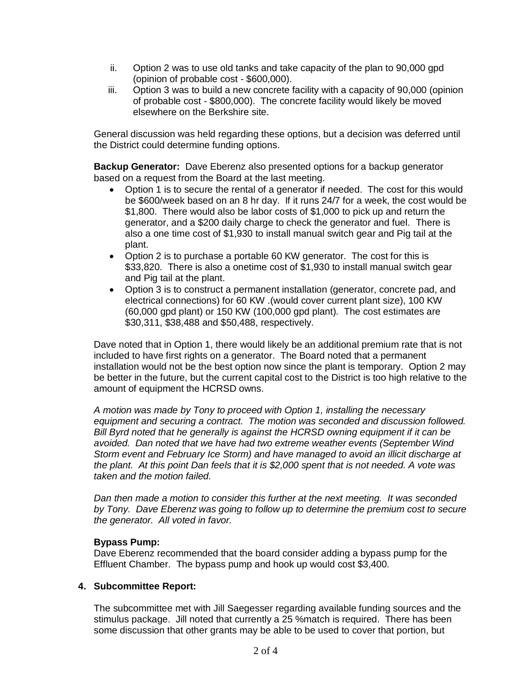- ii. Option 2 was to use old tanks and take capacity of the plan to 90,000 gpd (opinion of probable cost - \$600,000).
- iii. Option 3 was to build a new concrete facility with a capacity of 90,000 (opinion of probable cost - \$800,000). The concrete facility would likely be moved elsewhere on the Berkshire site.

General discussion was held regarding these options, but a decision was deferred until the District could determine funding options.

**Backup Generator:** Dave Eberenz also presented options for a backup generator based on a request from the Board at the last meeting.

- Option 1 is to secure the rental of a generator if needed. The cost for this would be \$600/week based on an 8 hr day. If it runs 24/7 for a week, the cost would be \$1,800. There would also be labor costs of \$1,000 to pick up and return the generator, and a \$200 daily charge to check the generator and fuel. There is also a one time cost of \$1,930 to install manual switch gear and Pig tail at the plant.
- · Option 2 is to purchase a portable 60 KW generator. The cost for this is \$33,820. There is also a onetime cost of \$1,930 to install manual switch gear and Pig tail at the plant.
- · Option 3 is to construct a permanent installation (generator, concrete pad, and electrical connections) for 60 KW .(would cover current plant size), 100 KW (60,000 gpd plant) or 150 KW (100,000 gpd plant). The cost estimates are \$30,311, \$38,488 and \$50,488, respectively.

Dave noted that in Option 1, there would likely be an additional premium rate that is not included to have first rights on a generator. The Board noted that a permanent installation would not be the best option now since the plant is temporary. Option 2 may be better in the future, but the current capital cost to the District is too high relative to the amount of equipment the HCRSD owns.

*A motion was made by Tony to proceed with Option 1, installing the necessary equipment and securing a contract. The motion was seconded and discussion followed. Bill Byrd noted that he generally is against the HCRSD owning equipment if it can be avoided. Dan noted that we have had two extreme weather events (September Wind Storm event and February Ice Storm) and have managed to avoid an illicit discharge at the plant. At this point Dan feels that it is \$2,000 spent that is not needed. A vote was taken and the motion failed.*

*Dan then made a motion to consider this further at the next meeting. It was seconded by Tony. Dave Eberenz was going to follow up to determine the premium cost to secure the generator. All voted in favor.*

## **Bypass Pump:**

Dave Eberenz recommended that the board consider adding a bypass pump for the Effluent Chamber. The bypass pump and hook up would cost \$3,400.

## **4. Subcommittee Report:**

The subcommittee met with Jill Saegesser regarding available funding sources and the stimulus package. Jill noted that currently a 25 %match is required. There has been some discussion that other grants may be able to be used to cover that portion, but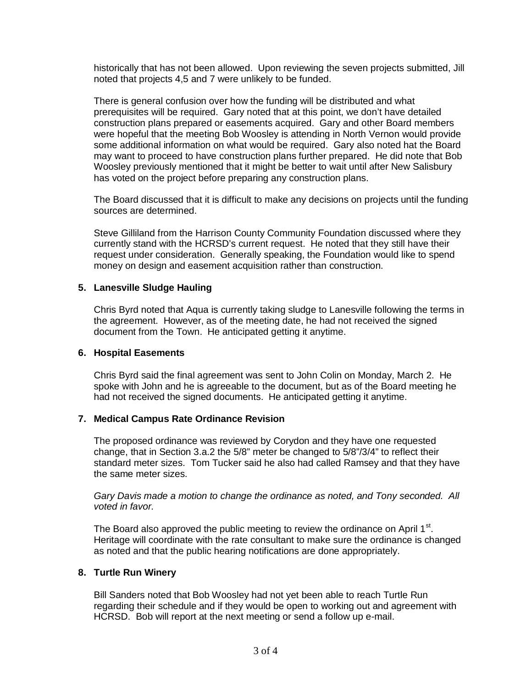historically that has not been allowed. Upon reviewing the seven projects submitted, Jill noted that projects 4,5 and 7 were unlikely to be funded.

There is general confusion over how the funding will be distributed and what prerequisites will be required. Gary noted that at this point, we don't have detailed construction plans prepared or easements acquired. Gary and other Board members were hopeful that the meeting Bob Woosley is attending in North Vernon would provide some additional information on what would be required. Gary also noted hat the Board may want to proceed to have construction plans further prepared. He did note that Bob Woosley previously mentioned that it might be better to wait until after New Salisbury has voted on the project before preparing any construction plans.

The Board discussed that it is difficult to make any decisions on projects until the funding sources are determined.

Steve Gilliland from the Harrison County Community Foundation discussed where they currently stand with the HCRSD's current request. He noted that they still have their request under consideration. Generally speaking, the Foundation would like to spend money on design and easement acquisition rather than construction.

#### **5. Lanesville Sludge Hauling**

Chris Byrd noted that Aqua is currently taking sludge to Lanesville following the terms in the agreement. However, as of the meeting date, he had not received the signed document from the Town. He anticipated getting it anytime.

#### **6. Hospital Easements**

Chris Byrd said the final agreement was sent to John Colin on Monday, March 2. He spoke with John and he is agreeable to the document, but as of the Board meeting he had not received the signed documents. He anticipated getting it anytime.

#### **7. Medical Campus Rate Ordinance Revision**

The proposed ordinance was reviewed by Corydon and they have one requested change, that in Section 3.a.2 the 5/8" meter be changed to 5/8"/3/4" to reflect their standard meter sizes. Tom Tucker said he also had called Ramsey and that they have the same meter sizes.

*Gary Davis made a motion to change the ordinance as noted, and Tony seconded. All voted in favor.*

The Board also approved the public meeting to review the ordinance on April 1 $st$ . Heritage will coordinate with the rate consultant to make sure the ordinance is changed as noted and that the public hearing notifications are done appropriately.

#### **8. Turtle Run Winery**

Bill Sanders noted that Bob Woosley had not yet been able to reach Turtle Run regarding their schedule and if they would be open to working out and agreement with HCRSD. Bob will report at the next meeting or send a follow up e-mail.